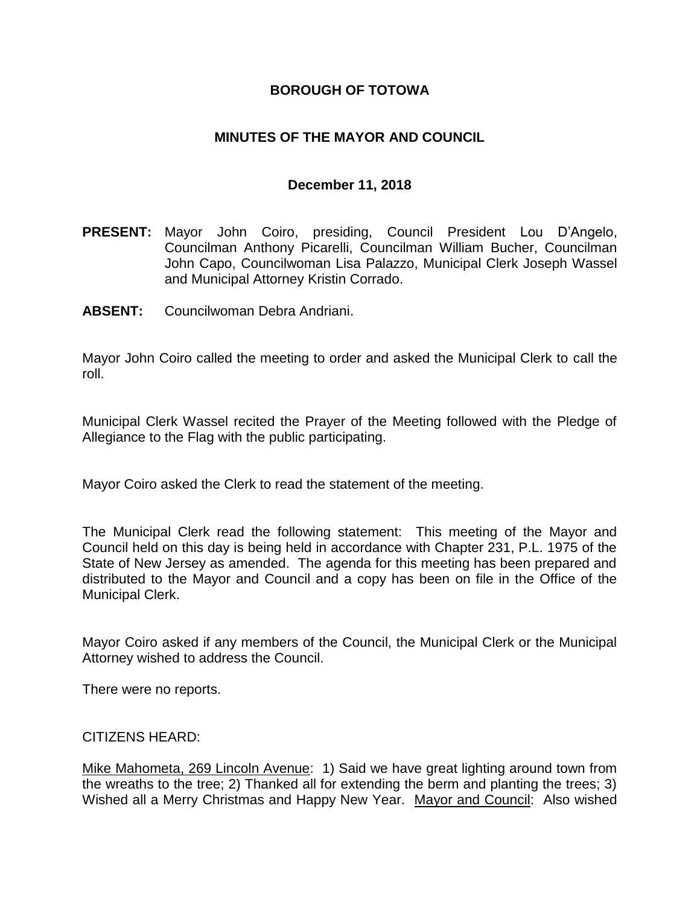## **BOROUGH OF TOTOWA**

## **MINUTES OF THE MAYOR AND COUNCIL**

### **December 11, 2018**

- **PRESENT:** Mayor John Coiro, presiding, Council President Lou D'Angelo, Councilman Anthony Picarelli, Councilman William Bucher, Councilman John Capo, Councilwoman Lisa Palazzo, Municipal Clerk Joseph Wassel and Municipal Attorney Kristin Corrado.
- **ABSENT:** Councilwoman Debra Andriani.

Mayor John Coiro called the meeting to order and asked the Municipal Clerk to call the roll.

Municipal Clerk Wassel recited the Prayer of the Meeting followed with the Pledge of Allegiance to the Flag with the public participating.

Mayor Coiro asked the Clerk to read the statement of the meeting.

The Municipal Clerk read the following statement: This meeting of the Mayor and Council held on this day is being held in accordance with Chapter 231, P.L. 1975 of the State of New Jersey as amended. The agenda for this meeting has been prepared and distributed to the Mayor and Council and a copy has been on file in the Office of the Municipal Clerk.

Mayor Coiro asked if any members of the Council, the Municipal Clerk or the Municipal Attorney wished to address the Council.

There were no reports.

#### CITIZENS HEARD:

Mike Mahometa, 269 Lincoln Avenue: 1) Said we have great lighting around town from the wreaths to the tree; 2) Thanked all for extending the berm and planting the trees; 3) Wished all a Merry Christmas and Happy New Year. Mayor and Council: Also wished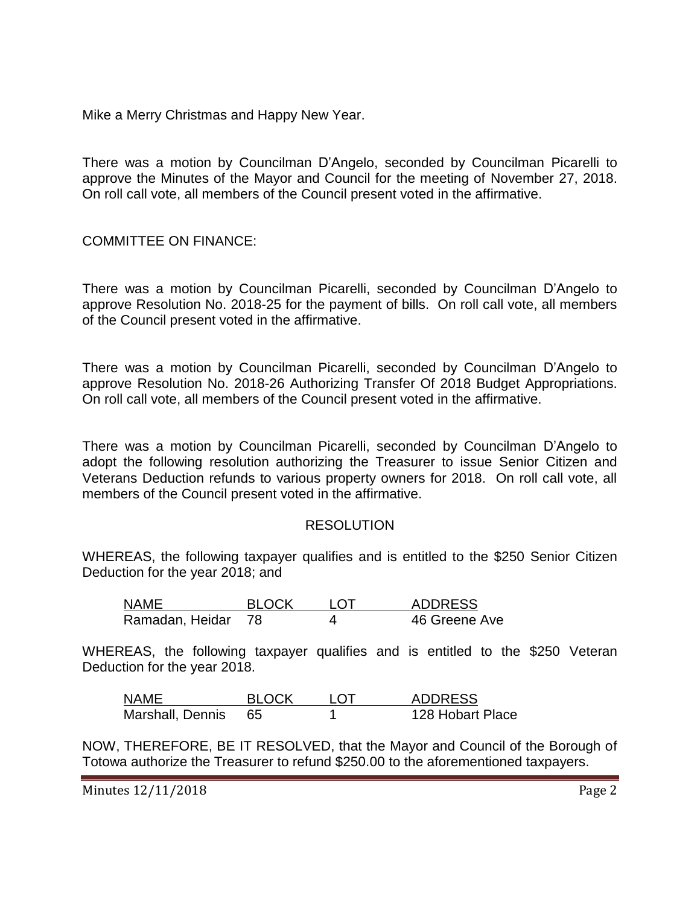Mike a Merry Christmas and Happy New Year.

There was a motion by Councilman D'Angelo, seconded by Councilman Picarelli to approve the Minutes of the Mayor and Council for the meeting of November 27, 2018. On roll call vote, all members of the Council present voted in the affirmative.

COMMITTEE ON FINANCE:

There was a motion by Councilman Picarelli, seconded by Councilman D'Angelo to approve Resolution No. 2018-25 for the payment of bills. On roll call vote, all members of the Council present voted in the affirmative.

There was a motion by Councilman Picarelli, seconded by Councilman D'Angelo to approve Resolution No. 2018-26 Authorizing Transfer Of 2018 Budget Appropriations. On roll call vote, all members of the Council present voted in the affirmative.

There was a motion by Councilman Picarelli, seconded by Councilman D'Angelo to adopt the following resolution authorizing the Treasurer to issue Senior Citizen and Veterans Deduction refunds to various property owners for 2018. On roll call vote, all members of the Council present voted in the affirmative.

### RESOLUTION

WHEREAS, the following taxpayer qualifies and is entitled to the \$250 Senior Citizen Deduction for the year 2018; and

NAME BLOCK LOT ADDRESS Ramadan, Heidar 78 4 46 Greene Ave

WHEREAS, the following taxpayer qualifies and is entitled to the \$250 Veteran Deduction for the year 2018.

| <b>NAME</b>      | <b>BLOCK</b> | LOT | <b>ADDRESS</b>   |
|------------------|--------------|-----|------------------|
| Marshall, Dennis | - 65         |     | 128 Hobart Place |

NOW, THEREFORE, BE IT RESOLVED, that the Mayor and Council of the Borough of Totowa authorize the Treasurer to refund \$250.00 to the aforementioned taxpayers.

Minutes 12/11/2018 **Page 2**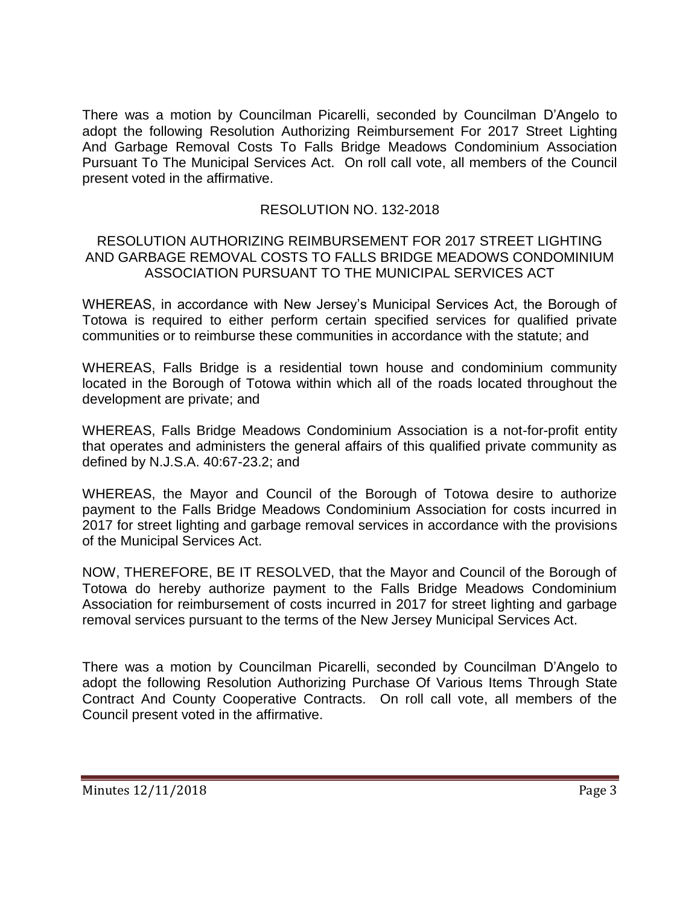There was a motion by Councilman Picarelli, seconded by Councilman D'Angelo to adopt the following Resolution Authorizing Reimbursement For 2017 Street Lighting And Garbage Removal Costs To Falls Bridge Meadows Condominium Association Pursuant To The Municipal Services Act. On roll call vote, all members of the Council present voted in the affirmative.

# RESOLUTION NO. 132-2018

### RESOLUTION AUTHORIZING REIMBURSEMENT FOR 2017 STREET LIGHTING AND GARBAGE REMOVAL COSTS TO FALLS BRIDGE MEADOWS CONDOMINIUM ASSOCIATION PURSUANT TO THE MUNICIPAL SERVICES ACT

WHEREAS, in accordance with New Jersey's Municipal Services Act, the Borough of Totowa is required to either perform certain specified services for qualified private communities or to reimburse these communities in accordance with the statute; and

WHEREAS, Falls Bridge is a residential town house and condominium community located in the Borough of Totowa within which all of the roads located throughout the development are private; and

WHEREAS, Falls Bridge Meadows Condominium Association is a not-for-profit entity that operates and administers the general affairs of this qualified private community as defined by N.J.S.A. 40:67-23.2; and

WHEREAS, the Mayor and Council of the Borough of Totowa desire to authorize payment to the Falls Bridge Meadows Condominium Association for costs incurred in 2017 for street lighting and garbage removal services in accordance with the provisions of the Municipal Services Act.

NOW, THEREFORE, BE IT RESOLVED, that the Mayor and Council of the Borough of Totowa do hereby authorize payment to the Falls Bridge Meadows Condominium Association for reimbursement of costs incurred in 2017 for street lighting and garbage removal services pursuant to the terms of the New Jersey Municipal Services Act.

There was a motion by Councilman Picarelli, seconded by Councilman D'Angelo to adopt the following Resolution Authorizing Purchase Of Various Items Through State Contract And County Cooperative Contracts. On roll call vote, all members of the Council present voted in the affirmative.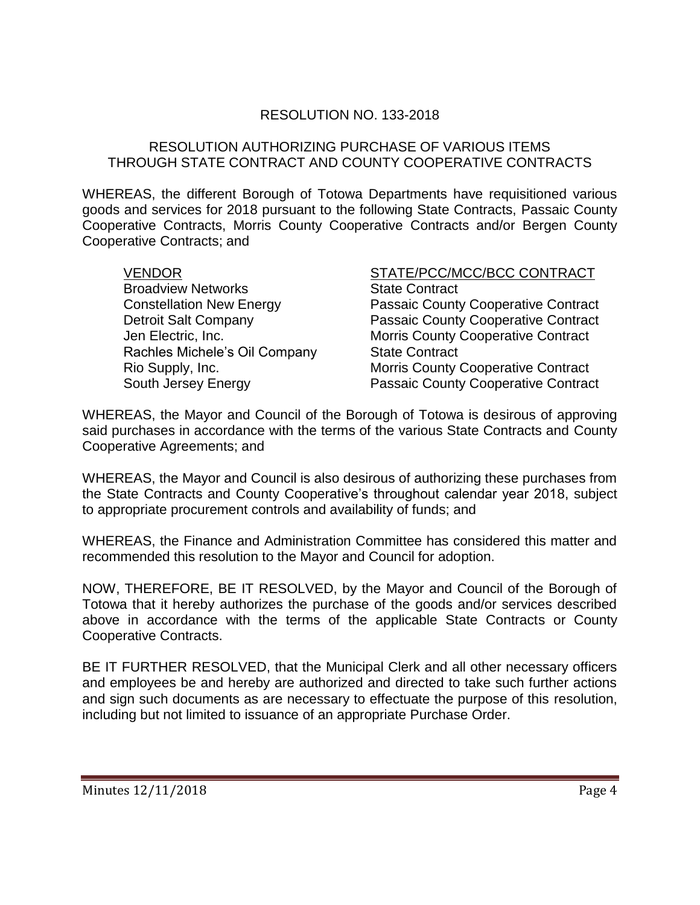# RESOLUTION NO. 133-2018

### RESOLUTION AUTHORIZING PURCHASE OF VARIOUS ITEMS THROUGH STATE CONTRACT AND COUNTY COOPERATIVE CONTRACTS

WHEREAS, the different Borough of Totowa Departments have requisitioned various goods and services for 2018 pursuant to the following State Contracts, Passaic County Cooperative Contracts, Morris County Cooperative Contracts and/or Bergen County Cooperative Contracts; and

| <b>VENDOR</b>                   |  |
|---------------------------------|--|
| <b>Broadview Networks</b>       |  |
| <b>Constellation New Energy</b> |  |
| <b>Detroit Salt Company</b>     |  |
| Jen Electric, Inc.              |  |
| Rachles Michele's Oil Company   |  |
| Rio Supply, Inc.                |  |
| South Jersey Energy             |  |

### STATE/PCC/MCC/BCC CONTRACT **State Contract** Passaic County Cooperative Contract Passaic County Cooperative Contract Morris County Cooperative Contract **State Contract** Morris County Cooperative Contract Passaic County Cooperative Contract

WHEREAS, the Mayor and Council of the Borough of Totowa is desirous of approving said purchases in accordance with the terms of the various State Contracts and County Cooperative Agreements; and

WHEREAS, the Mayor and Council is also desirous of authorizing these purchases from the State Contracts and County Cooperative's throughout calendar year 2018, subject to appropriate procurement controls and availability of funds; and

WHEREAS, the Finance and Administration Committee has considered this matter and recommended this resolution to the Mayor and Council for adoption.

NOW, THEREFORE, BE IT RESOLVED, by the Mayor and Council of the Borough of Totowa that it hereby authorizes the purchase of the goods and/or services described above in accordance with the terms of the applicable State Contracts or County Cooperative Contracts.

BE IT FURTHER RESOLVED, that the Municipal Clerk and all other necessary officers and employees be and hereby are authorized and directed to take such further actions and sign such documents as are necessary to effectuate the purpose of this resolution, including but not limited to issuance of an appropriate Purchase Order.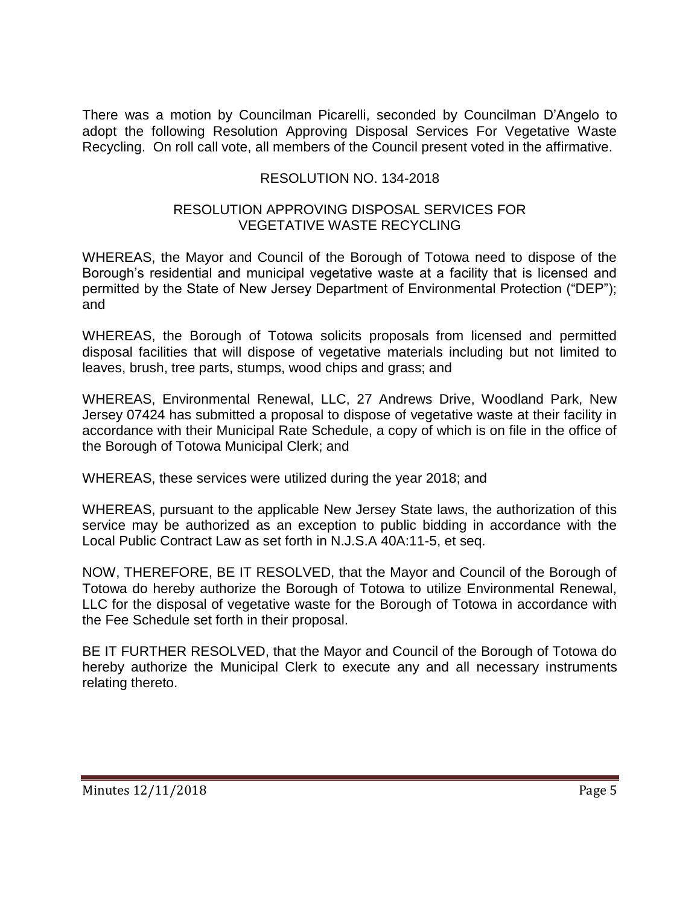There was a motion by Councilman Picarelli, seconded by Councilman D'Angelo to adopt the following Resolution Approving Disposal Services For Vegetative Waste Recycling. On roll call vote, all members of the Council present voted in the affirmative.

## RESOLUTION NO. 134-2018

### RESOLUTION APPROVING DISPOSAL SERVICES FOR VEGETATIVE WASTE RECYCLING

WHEREAS, the Mayor and Council of the Borough of Totowa need to dispose of the Borough's residential and municipal vegetative waste at a facility that is licensed and permitted by the State of New Jersey Department of Environmental Protection ("DEP"); and

WHEREAS, the Borough of Totowa solicits proposals from licensed and permitted disposal facilities that will dispose of vegetative materials including but not limited to leaves, brush, tree parts, stumps, wood chips and grass; and

WHEREAS, Environmental Renewal, LLC, 27 Andrews Drive, Woodland Park, New Jersey 07424 has submitted a proposal to dispose of vegetative waste at their facility in accordance with their Municipal Rate Schedule, a copy of which is on file in the office of the Borough of Totowa Municipal Clerk; and

WHEREAS, these services were utilized during the year 2018; and

WHEREAS, pursuant to the applicable New Jersey State laws, the authorization of this service may be authorized as an exception to public bidding in accordance with the Local Public Contract Law as set forth in N.J.S.A 40A:11-5, et seq.

NOW, THEREFORE, BE IT RESOLVED, that the Mayor and Council of the Borough of Totowa do hereby authorize the Borough of Totowa to utilize Environmental Renewal, LLC for the disposal of vegetative waste for the Borough of Totowa in accordance with the Fee Schedule set forth in their proposal.

BE IT FURTHER RESOLVED, that the Mayor and Council of the Borough of Totowa do hereby authorize the Municipal Clerk to execute any and all necessary instruments relating thereto.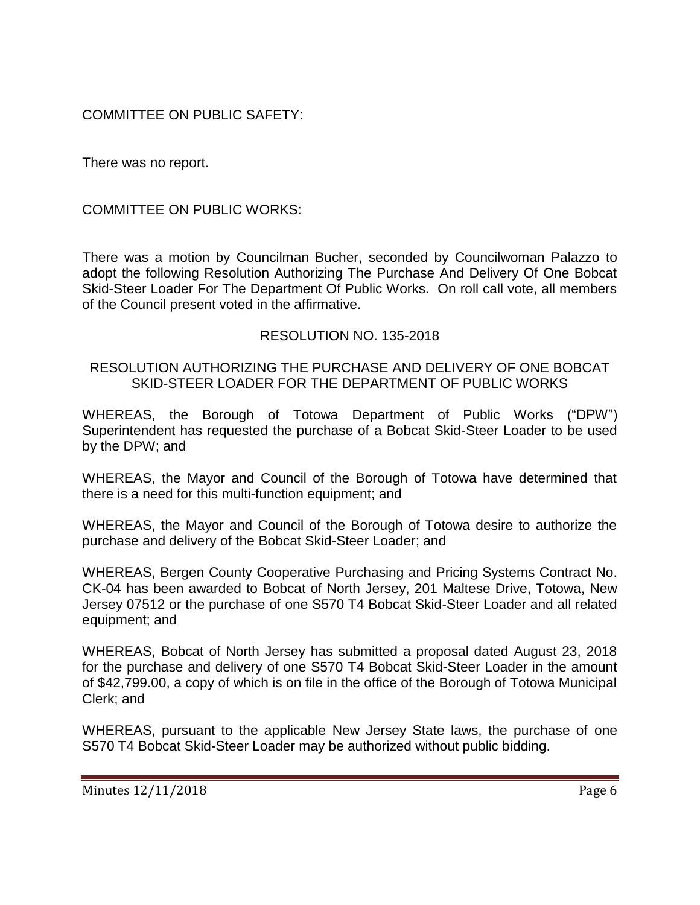COMMITTEE ON PUBLIC SAFETY:

There was no report.

COMMITTEE ON PUBLIC WORKS:

There was a motion by Councilman Bucher, seconded by Councilwoman Palazzo to adopt the following Resolution Authorizing The Purchase And Delivery Of One Bobcat Skid-Steer Loader For The Department Of Public Works. On roll call vote, all members of the Council present voted in the affirmative.

### RESOLUTION NO. 135-2018

### RESOLUTION AUTHORIZING THE PURCHASE AND DELIVERY OF ONE BOBCAT SKID-STEER LOADER FOR THE DEPARTMENT OF PUBLIC WORKS

WHEREAS, the Borough of Totowa Department of Public Works ("DPW") Superintendent has requested the purchase of a Bobcat Skid-Steer Loader to be used by the DPW; and

WHEREAS, the Mayor and Council of the Borough of Totowa have determined that there is a need for this multi-function equipment; and

WHEREAS, the Mayor and Council of the Borough of Totowa desire to authorize the purchase and delivery of the Bobcat Skid-Steer Loader; and

WHEREAS, Bergen County Cooperative Purchasing and Pricing Systems Contract No. CK-04 has been awarded to Bobcat of North Jersey, 201 Maltese Drive, Totowa, New Jersey 07512 or the purchase of one S570 T4 Bobcat Skid-Steer Loader and all related equipment; and

WHEREAS, Bobcat of North Jersey has submitted a proposal dated August 23, 2018 for the purchase and delivery of one S570 T4 Bobcat Skid-Steer Loader in the amount of \$42,799.00, a copy of which is on file in the office of the Borough of Totowa Municipal Clerk; and

WHEREAS, pursuant to the applicable New Jersey State laws, the purchase of one S570 T4 Bobcat Skid-Steer Loader may be authorized without public bidding.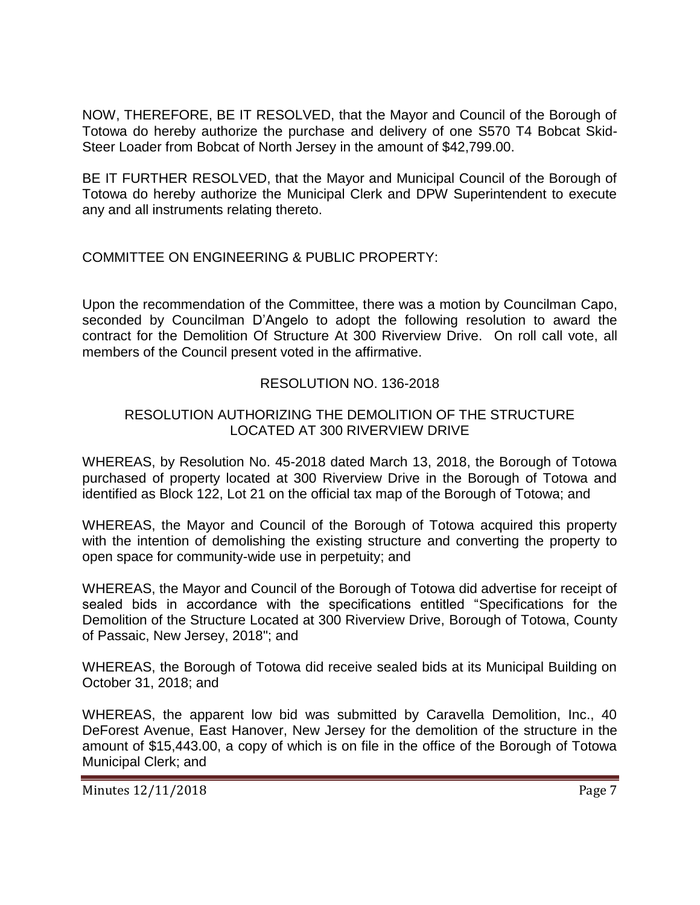NOW, THEREFORE, BE IT RESOLVED, that the Mayor and Council of the Borough of Totowa do hereby authorize the purchase and delivery of one S570 T4 Bobcat Skid-Steer Loader from Bobcat of North Jersey in the amount of \$42,799.00.

BE IT FURTHER RESOLVED, that the Mayor and Municipal Council of the Borough of Totowa do hereby authorize the Municipal Clerk and DPW Superintendent to execute any and all instruments relating thereto.

## COMMITTEE ON ENGINEERING & PUBLIC PROPERTY:

Upon the recommendation of the Committee, there was a motion by Councilman Capo, seconded by Councilman D'Angelo to adopt the following resolution to award the contract for the Demolition Of Structure At 300 Riverview Drive. On roll call vote, all members of the Council present voted in the affirmative.

## RESOLUTION NO. 136-2018

## RESOLUTION AUTHORIZING THE DEMOLITION OF THE STRUCTURE LOCATED AT 300 RIVERVIEW DRIVE

WHEREAS, by Resolution No. 45-2018 dated March 13, 2018, the Borough of Totowa purchased of property located at 300 Riverview Drive in the Borough of Totowa and identified as Block 122, Lot 21 on the official tax map of the Borough of Totowa; and

WHEREAS, the Mayor and Council of the Borough of Totowa acquired this property with the intention of demolishing the existing structure and converting the property to open space for community-wide use in perpetuity; and

WHEREAS, the Mayor and Council of the Borough of Totowa did advertise for receipt of sealed bids in accordance with the specifications entitled "Specifications for the Demolition of the Structure Located at 300 Riverview Drive, Borough of Totowa, County of Passaic, New Jersey, 2018"; and

WHEREAS, the Borough of Totowa did receive sealed bids at its Municipal Building on October 31, 2018; and

WHEREAS, the apparent low bid was submitted by Caravella Demolition, Inc., 40 DeForest Avenue, East Hanover, New Jersey for the demolition of the structure in the amount of \$15,443.00, a copy of which is on file in the office of the Borough of Totowa Municipal Clerk; and